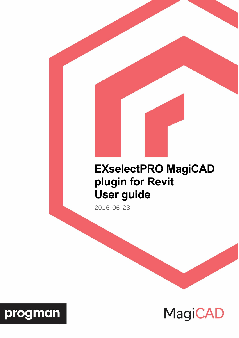# **EXselectPRO MagiCAD plugin for Revit User guide**

2016-06-23



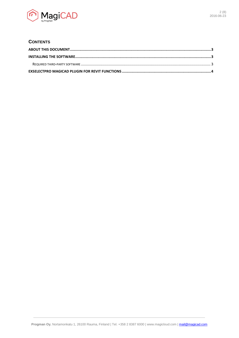

## **CONTENTS**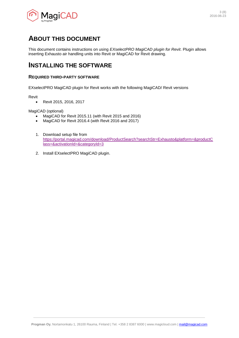

# <span id="page-2-0"></span>**ABOUT THIS DOCUMENT**

This document contains instructions on using *EXselectPRO MagiCAD plugin for Revit*. Plugin allows inserting Exhausto air handling units into Revit or MagiCAD for Revit drawing.

# <span id="page-2-1"></span>**INSTALLING THE SOFTWARE**

## <span id="page-2-2"></span>**REQUIRED THIRD-PARTY SOFTWARE**

EXselectPRO MagiCAD plugin for Revit works with the following MagiCAD/ Revit versions

Revit

Revit 2015, 2016, 2017

MagiCAD (optional)

- MagiCAD for Revit 2015.11 (with Revit 2015 and 2016)
- MagiCAD for Revit 2016.4 (with Revit 2016 and 2017)
- 1. Download setup file from [https://portal.magicad.com/download/ProductSearch?searchStr=Exhausto&platform=&productC](https://portal.magicad.com/download/ProductSearch?searchStr=Exhausto&platform=&productClass=&activationId=&categoryId=3) [lass=&activationId=&categoryId=3](https://portal.magicad.com/download/ProductSearch?searchStr=Exhausto&platform=&productClass=&activationId=&categoryId=3)
- 2. Install EXselectPRO MagiCAD plugin.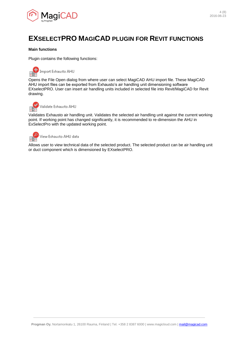

# <span id="page-3-0"></span>**EXSELECTPRO MAGICAD PLUGIN FOR REVIT FUNCTIONS**

### **Main functions**

Plugin contains the following functions:



Opens the File Open dialog from where user can select MagiCAD AHU import file. These MagiCAD AHU import files can be exported from Exhausto's air handling unit dimensioning software EXselectPRO. User can insert air handling units included in selected file into Revit/MagiCAD for Revit drawing.

Validate Exhausto AHU

Validates Exhausto air handling unit. Validates the selected air handling unit against the current working point. If working point has changed significantly, it is recommended to re-dimension the AHU in ExSelectPro with the updated working point.



Allows user to view technical data of the selected product. The selected product can be air handling unit or duct component which is dimensioned by EXselectPRO.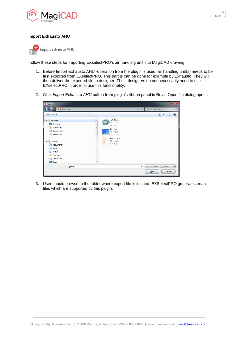

### **Import Exhausto AHU**



Follow these steps for Importing EXselectPRO's air handling unit into MagiCAD drawing:

- 1. Before Import Exhausto AHU -operation from the plugin is used, air handling unit(s) needs to be first exported from EXselectPRO. This part is can be done for example by Exhausto. They will then deliver the exported file to designer. Thus, designers do not necessarily need to use EXselectPRO in order to use this functionality.
- 2. Click *Import* Exhausto *AHU* button from plugin's ribbon panel in Revit. Open file dialog opens.

| A Open                                                                                                                                                                                                     |        |                                                                         |                                              |                                  |        | $\mathbf{x}$   |
|------------------------------------------------------------------------------------------------------------------------------------------------------------------------------------------------------------|--------|-------------------------------------------------------------------------|----------------------------------------------|----------------------------------|--------|----------------|
| Favorites                                                                                                                                                                                                  |        |                                                                         | $\left  \cdot \right $<br>$\bar{\mathbf{v}}$ | Search Favorites                 |        | م              |
| Organize v                                                                                                                                                                                                 |        |                                                                         |                                              | $\frac{1}{M}$ = $\rightarrow$    | 団      | $\circledcirc$ |
| <b>4 X</b> Favorites<br>Desktop<br><b>Downloads</b><br><b>Recent Places</b><br>盟<br>A360 Drive<br>$\bullet$                                                                                                | ▴<br>Ξ | A360 Drive<br>Shortcut<br>809 bytes<br>Desktop<br>Shortcut<br>432 bytes |                                              |                                  |        |                |
| 4 Libraries<br>n<br>Documents<br>$\triangleright$<br>Music<br>$\triangleright$<br>Pictures<br>$\triangleright$<br>Podcasts<br>$\triangleright$<br>▷ 圖<br>Subversion<br><b>M</b> Videos<br>$\triangleright$ |        | Downloads<br>Shortcut<br>839 bytes                                      |                                              |                                  |        |                |
| File name:                                                                                                                                                                                                 |        |                                                                         | $\cdot$                                      | MagiCAD Ahu File (*.mah)<br>Qpen | Cancel |                |

3. User should browse to the folder where export file is located. EXSelectPRO generates .mahfiles which are supported by this plugin.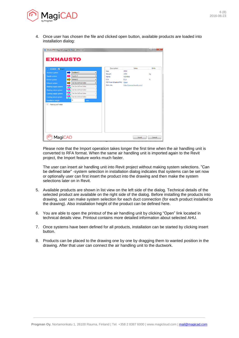

4. Once user has chosen the file and clicked open button, available products are loaded into installation dialog:

| <b>EXHAUSTO</b>                   |             |                      |                          |                      |                          |              |
|-----------------------------------|-------------|----------------------|--------------------------|----------------------|--------------------------|--------------|
| VEX4000 <b>V</b> Insert<br>$\sim$ |             |                      |                          | Description          | Value                    | <b>Units</b> |
| Outdoor system                    | Outdoor 2   |                      | $\blacktriangledown$     | Size                 | 4050                     |              |
| Supply system                     | Supply 2    |                      | $\overline{\phantom{a}}$ | Weight<br>Name       | 1465<br><b>VEX4000</b>   | kg           |
| <b>Extract system</b>             | Extract 2   |                      | $\blacktriangledown$     | <b>ETA</b>           | 81,6                     | %            |
| <b>Exhaust system</b>             |             | Can be defined later | $\blacksquare$           | PDF from EXselectPRO | Open                     |              |
| Heating supply system             |             | Can be defined later | $\overline{\phantom{a}}$ | Web site:            | http://www.exhausto.com/ |              |
| Heating return system             |             | Can be defined later | $\mathbf{v}$             |                      |                          |              |
| Cooling supply system             |             | Can be defined later | $\;$                     |                      |                          |              |
| Cooling return system             |             | Can be defined later |                          |                      |                          |              |
| <b>Installation height</b>        | $\mathbf 0$ | mm                   |                          |                      |                          |              |
| Heating coil water<br>$\vee$      |             |                      |                          |                      |                          |              |
| <b>MagiCAD</b>                    |             |                      |                          |                      | Insert                   | Cancel       |

Please note that the Import operation takes longer the first time when the air handling unit is converted to RFA format. When the same air handling unit is imported again to the Revit project, the Import feature works much faster.

The user can insert air handling unit into Revit project without making system selections. "Can be defined later" -system selection in installation dialog indicates that systems can be set now or optionally user can first insert the product into the drawing and then make the system selections later on in Revit.

- 5. Available products are shown in list view on the left side of the dialog. Technical details of the selected product are available on the right side of the dialog. Before installing the products into drawing, user can make system selection for each duct connection (for each product installed to the drawing). Also installation height of the product can be defined here.
- 6. You are able to open the printout of the air handling unit by clicking "Open" link located in technical details view. Printout contains more detailed information about selected AHU.
- 7. Once systems have been defined for all products, installation can be started by clicking insert button.
- 8. Products can be placed to the drawing one by one by dragging them to wanted position in the drawing. After that user can connect the air handling unit to the ductwork.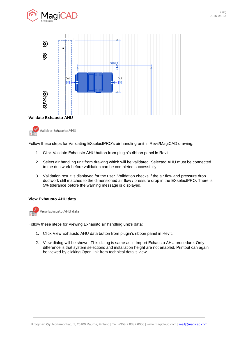





Follow these steps for Validating EXselectPRO's air handling unit in Revit/MagiCAD drawing:

- 1. Click Validate Exhausto AHU button from plugin's ribbon panel in Revit.
- 2. Select air handling unit from drawing which will be validated. Selected AHU must be connected to the ductwork before validation can be completed successfully.
- 3. Validation result is displayed for the user. Validation checks if the air flow and pressure drop ductwork still matches to the dimensioned air flow / pressure drop in the EXselectPRO. There is 5% tolerance before the warning message is displayed.

#### **View Exhausto AHU data**



Follow these steps for Viewing Exhausto air handling unit's data:

- 1. Click View Exhausto AHU data button from plugin's ribbon panel in Revit.
- 2. View dialog will be shown. This dialog is same as in Import Exhausto AHU procedure. Only difference is that system selections and installation height are not enabled. Printout can again be viewed by clicking Open link from technical details view.